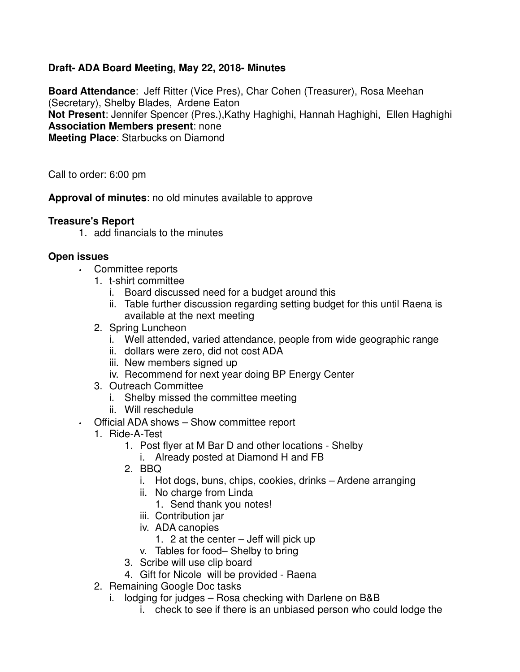### **Draft- ADA Board Meeting, May 22, 2018- Minutes**

**Board Attendance**: Jeff Ritter (Vice Pres), Char Cohen (Treasurer), Rosa Meehan (Secretary), Shelby Blades, Ardene Eaton **Not Present**: Jennifer Spencer (Pres.),Kathy Haghighi, Hannah Haghighi, Ellen Haghighi **Association Members present**: none **Meeting Place**: Starbucks on Diamond

Call to order: 6:00 pm

**Approval of minutes**: no old minutes available to approve

### **Treasure's Report**

1. add financials to the minutes

### **Open issues**

- Committee reports
	- 1. t-shirt committee
		- i. Board discussed need for a budget around this
		- ii. Table further discussion regarding setting budget for this until Raena is available at the next meeting
	- 2. Spring Luncheon
		- i. Well attended, varied attendance, people from wide geographic range
		- ii. dollars were zero, did not cost ADA
		- iii. New members signed up
		- iv. Recommend for next year doing BP Energy Center
	- 3. Outreach Committee
		- i. Shelby missed the committee meeting
		- ii. Will reschedule
- Official ADA shows Show committee report
	- 1. Ride-A-Test
		- 1. Post flyer at M Bar D and other locations Shelby
			- i. Already posted at Diamond H and FB
		- 2. BBQ
			- i. Hot dogs, buns, chips, cookies, drinks Ardene arranging
			- ii. No charge from Linda
				- 1. Send thank you notes!
			- iii. Contribution jar
			- iv. ADA canopies
				- 1. 2 at the center Jeff will pick up
			- v. Tables for food– Shelby to bring
		- 3. Scribe will use clip board
		- 4. Gift for Nicole will be provided Raena
	- 2. Remaining Google Doc tasks
		- i. lodging for judges Rosa checking with Darlene on B&B
			- i. check to see if there is an unbiased person who could lodge the